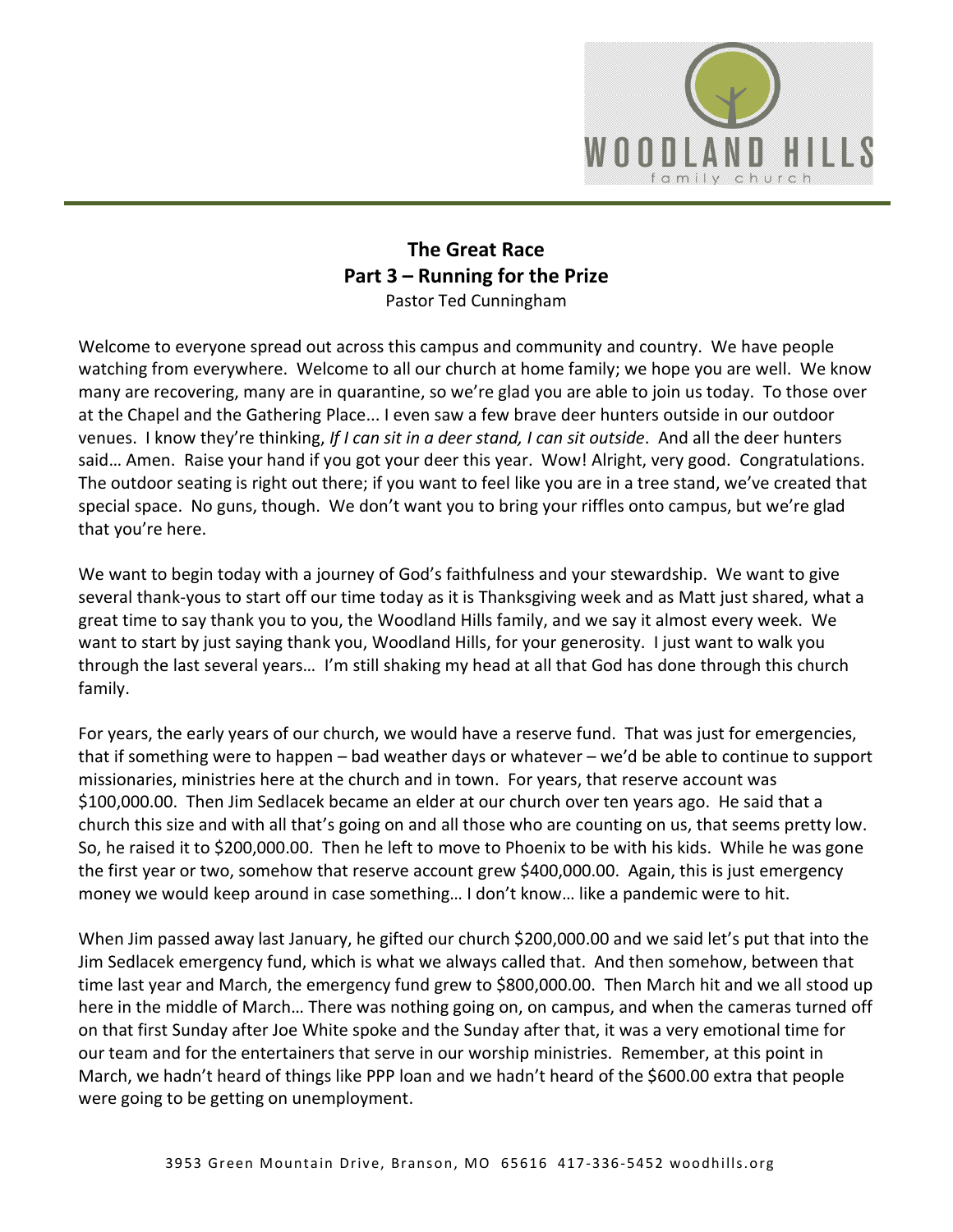

## **The Great Race Part 3 – Running for the Prize** Pastor Ted Cunningham

Welcome to everyone spread out across this campus and community and country. We have people watching from everywhere. Welcome to all our church at home family; we hope you are well. We know many are recovering, many are in quarantine, so we're glad you are able to join us today. To those over at the Chapel and the Gathering Place... I even saw a few brave deer hunters outside in our outdoor venues. I know they're thinking, *If I can sit in a deer stand, I can sit outside*. And all the deer hunters said… Amen. Raise your hand if you got your deer this year. Wow! Alright, very good. Congratulations. The outdoor seating is right out there; if you want to feel like you are in a tree stand, we've created that special space. No guns, though. We don't want you to bring your riffles onto campus, but we're glad that you're here.

We want to begin today with a journey of God's faithfulness and your stewardship. We want to give several thank-yous to start off our time today as it is Thanksgiving week and as Matt just shared, what a great time to say thank you to you, the Woodland Hills family, and we say it almost every week. We want to start by just saying thank you, Woodland Hills, for your generosity. I just want to walk you through the last several years… I'm still shaking my head at all that God has done through this church family.

For years, the early years of our church, we would have a reserve fund. That was just for emergencies, that if something were to happen – bad weather days or whatever – we'd be able to continue to support missionaries, ministries here at the church and in town. For years, that reserve account was \$100,000.00. Then Jim Sedlacek became an elder at our church over ten years ago. He said that a church this size and with all that's going on and all those who are counting on us, that seems pretty low. So, he raised it to \$200,000.00. Then he left to move to Phoenix to be with his kids. While he was gone the first year or two, somehow that reserve account grew \$400,000.00. Again, this is just emergency money we would keep around in case something… I don't know… like a pandemic were to hit.

When Jim passed away last January, he gifted our church \$200,000.00 and we said let's put that into the Jim Sedlacek emergency fund, which is what we always called that. And then somehow, between that time last year and March, the emergency fund grew to \$800,000.00. Then March hit and we all stood up here in the middle of March… There was nothing going on, on campus, and when the cameras turned off on that first Sunday after Joe White spoke and the Sunday after that, it was a very emotional time for our team and for the entertainers that serve in our worship ministries. Remember, at this point in March, we hadn't heard of things like PPP loan and we hadn't heard of the \$600.00 extra that people were going to be getting on unemployment.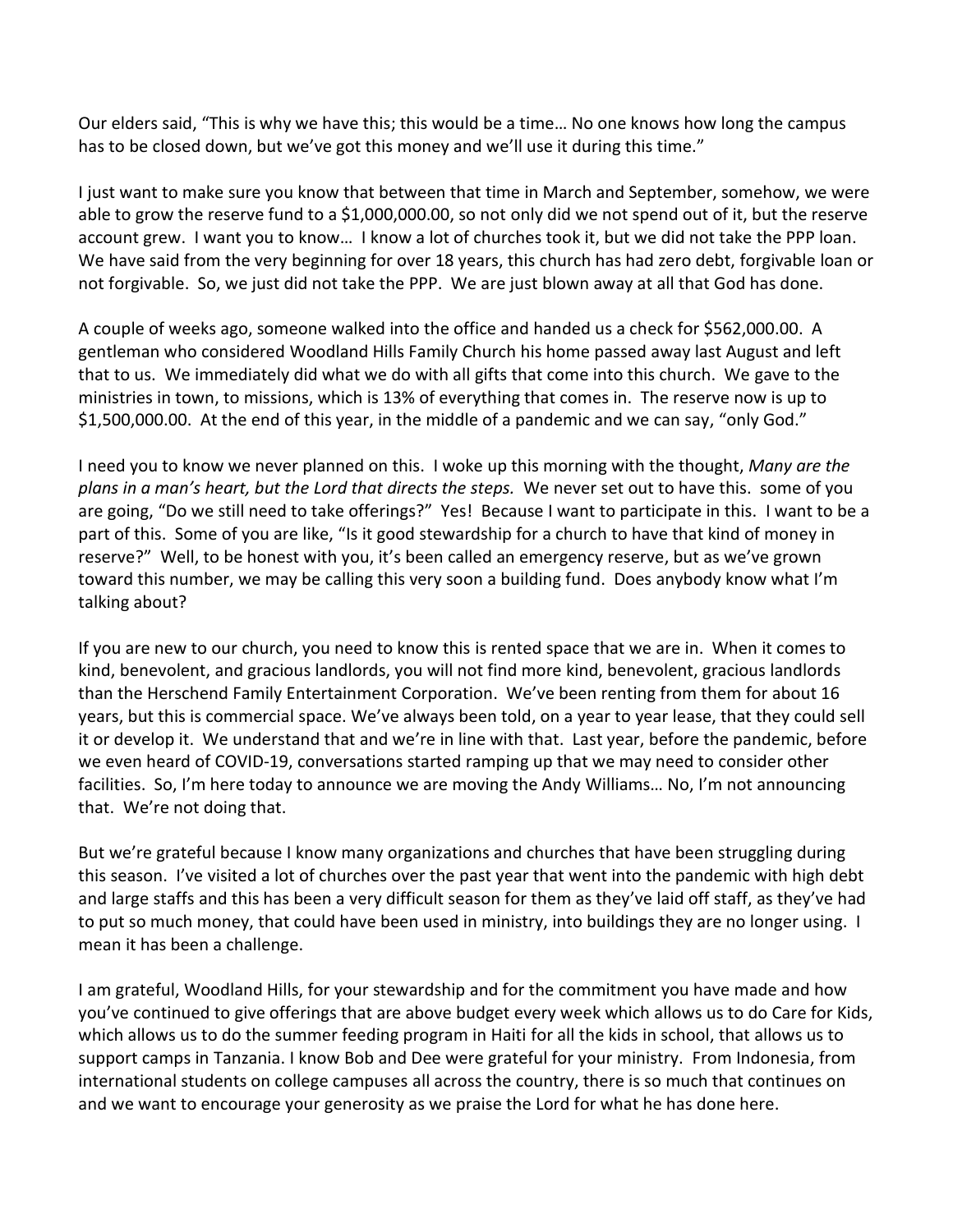Our elders said, "This is why we have this; this would be a time… No one knows how long the campus has to be closed down, but we've got this money and we'll use it during this time."

I just want to make sure you know that between that time in March and September, somehow, we were able to grow the reserve fund to a \$1,000,000.00, so not only did we not spend out of it, but the reserve account grew. I want you to know… I know a lot of churches took it, but we did not take the PPP loan. We have said from the very beginning for over 18 years, this church has had zero debt, forgivable loan or not forgivable. So, we just did not take the PPP. We are just blown away at all that God has done.

A couple of weeks ago, someone walked into the office and handed us a check for \$562,000.00. A gentleman who considered Woodland Hills Family Church his home passed away last August and left that to us. We immediately did what we do with all gifts that come into this church. We gave to the ministries in town, to missions, which is 13% of everything that comes in. The reserve now is up to \$1,500,000.00. At the end of this year, in the middle of a pandemic and we can say, "only God."

I need you to know we never planned on this. I woke up this morning with the thought, *Many are the plans in a man's heart, but the Lord that directs the steps.* We never set out to have this. some of you are going, "Do we still need to take offerings?" Yes! Because I want to participate in this. I want to be a part of this. Some of you are like, "Is it good stewardship for a church to have that kind of money in reserve?" Well, to be honest with you, it's been called an emergency reserve, but as we've grown toward this number, we may be calling this very soon a building fund. Does anybody know what I'm talking about?

If you are new to our church, you need to know this is rented space that we are in. When it comes to kind, benevolent, and gracious landlords, you will not find more kind, benevolent, gracious landlords than the Herschend Family Entertainment Corporation. We've been renting from them for about 16 years, but this is commercial space. We've always been told, on a year to year lease, that they could sell it or develop it. We understand that and we're in line with that. Last year, before the pandemic, before we even heard of COVID-19, conversations started ramping up that we may need to consider other facilities. So, I'm here today to announce we are moving the Andy Williams… No, I'm not announcing that. We're not doing that.

But we're grateful because I know many organizations and churches that have been struggling during this season. I've visited a lot of churches over the past year that went into the pandemic with high debt and large staffs and this has been a very difficult season for them as they've laid off staff, as they've had to put so much money, that could have been used in ministry, into buildings they are no longer using. I mean it has been a challenge.

I am grateful, Woodland Hills, for your stewardship and for the commitment you have made and how you've continued to give offerings that are above budget every week which allows us to do Care for Kids, which allows us to do the summer feeding program in Haiti for all the kids in school, that allows us to support camps in Tanzania. I know Bob and Dee were grateful for your ministry. From Indonesia, from international students on college campuses all across the country, there is so much that continues on and we want to encourage your generosity as we praise the Lord for what he has done here.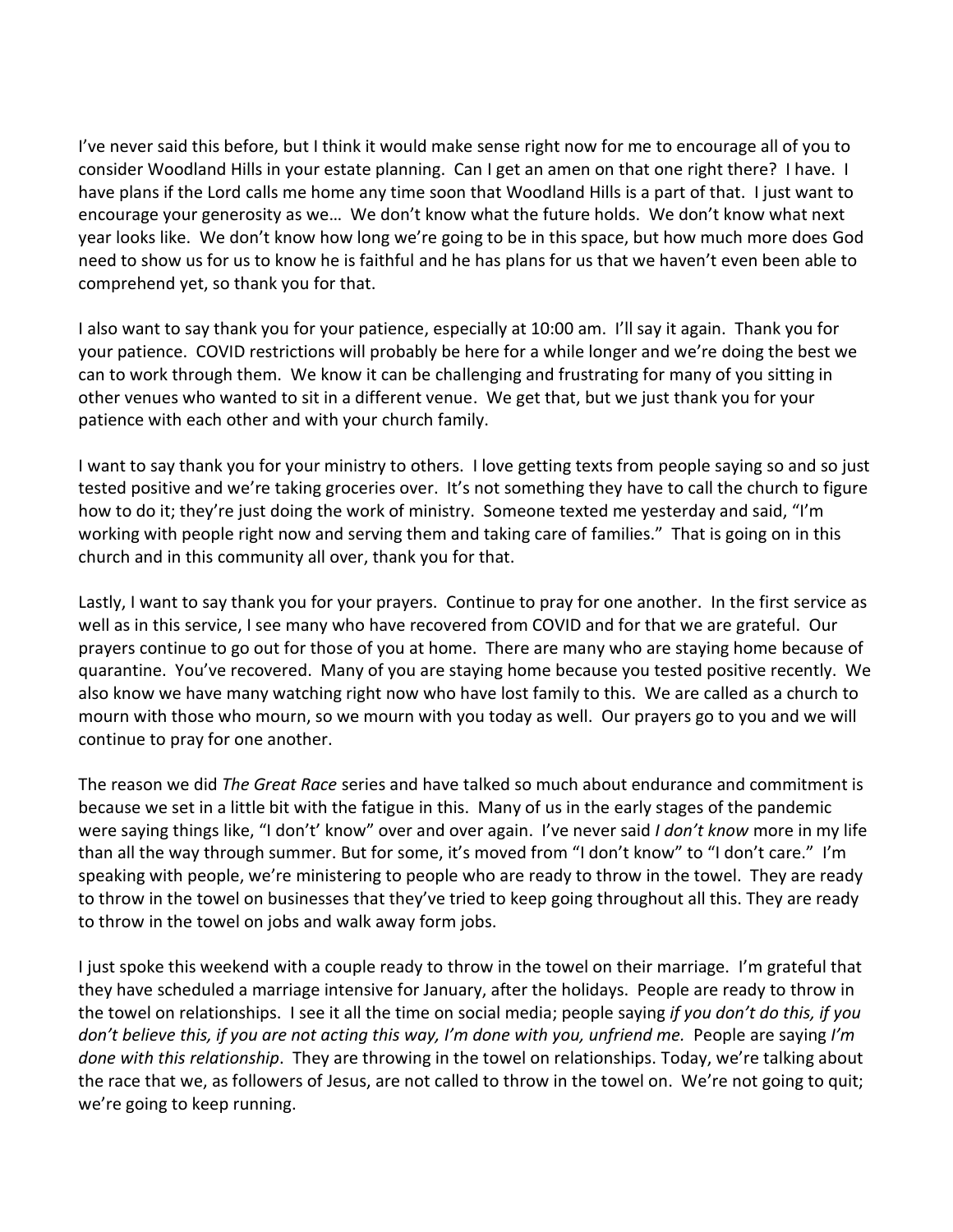I've never said this before, but I think it would make sense right now for me to encourage all of you to consider Woodland Hills in your estate planning. Can I get an amen on that one right there? I have. I have plans if the Lord calls me home any time soon that Woodland Hills is a part of that. I just want to encourage your generosity as we… We don't know what the future holds. We don't know what next year looks like. We don't know how long we're going to be in this space, but how much more does God need to show us for us to know he is faithful and he has plans for us that we haven't even been able to comprehend yet, so thank you for that.

I also want to say thank you for your patience, especially at 10:00 am. I'll say it again. Thank you for your patience. COVID restrictions will probably be here for a while longer and we're doing the best we can to work through them. We know it can be challenging and frustrating for many of you sitting in other venues who wanted to sit in a different venue. We get that, but we just thank you for your patience with each other and with your church family.

I want to say thank you for your ministry to others. I love getting texts from people saying so and so just tested positive and we're taking groceries over. It's not something they have to call the church to figure how to do it; they're just doing the work of ministry. Someone texted me yesterday and said, "I'm working with people right now and serving them and taking care of families." That is going on in this church and in this community all over, thank you for that.

Lastly, I want to say thank you for your prayers. Continue to pray for one another. In the first service as well as in this service, I see many who have recovered from COVID and for that we are grateful. Our prayers continue to go out for those of you at home. There are many who are staying home because of quarantine. You've recovered. Many of you are staying home because you tested positive recently. We also know we have many watching right now who have lost family to this. We are called as a church to mourn with those who mourn, so we mourn with you today as well. Our prayers go to you and we will continue to pray for one another.

The reason we did *The Great Race* series and have talked so much about endurance and commitment is because we set in a little bit with the fatigue in this. Many of us in the early stages of the pandemic were saying things like, "I don't' know" over and over again. I've never said *I don't know* more in my life than all the way through summer. But for some, it's moved from "I don't know" to "I don't care." I'm speaking with people, we're ministering to people who are ready to throw in the towel. They are ready to throw in the towel on businesses that they've tried to keep going throughout all this. They are ready to throw in the towel on jobs and walk away form jobs.

I just spoke this weekend with a couple ready to throw in the towel on their marriage. I'm grateful that they have scheduled a marriage intensive for January, after the holidays. People are ready to throw in the towel on relationships. I see it all the time on social media; people saying *if you don't do this, if you don't believe this, if you are not acting this way, I'm done with you, unfriend me.* People are saying *I'm done with this relationship*. They are throwing in the towel on relationships. Today, we're talking about the race that we, as followers of Jesus, are not called to throw in the towel on. We're not going to quit; we're going to keep running.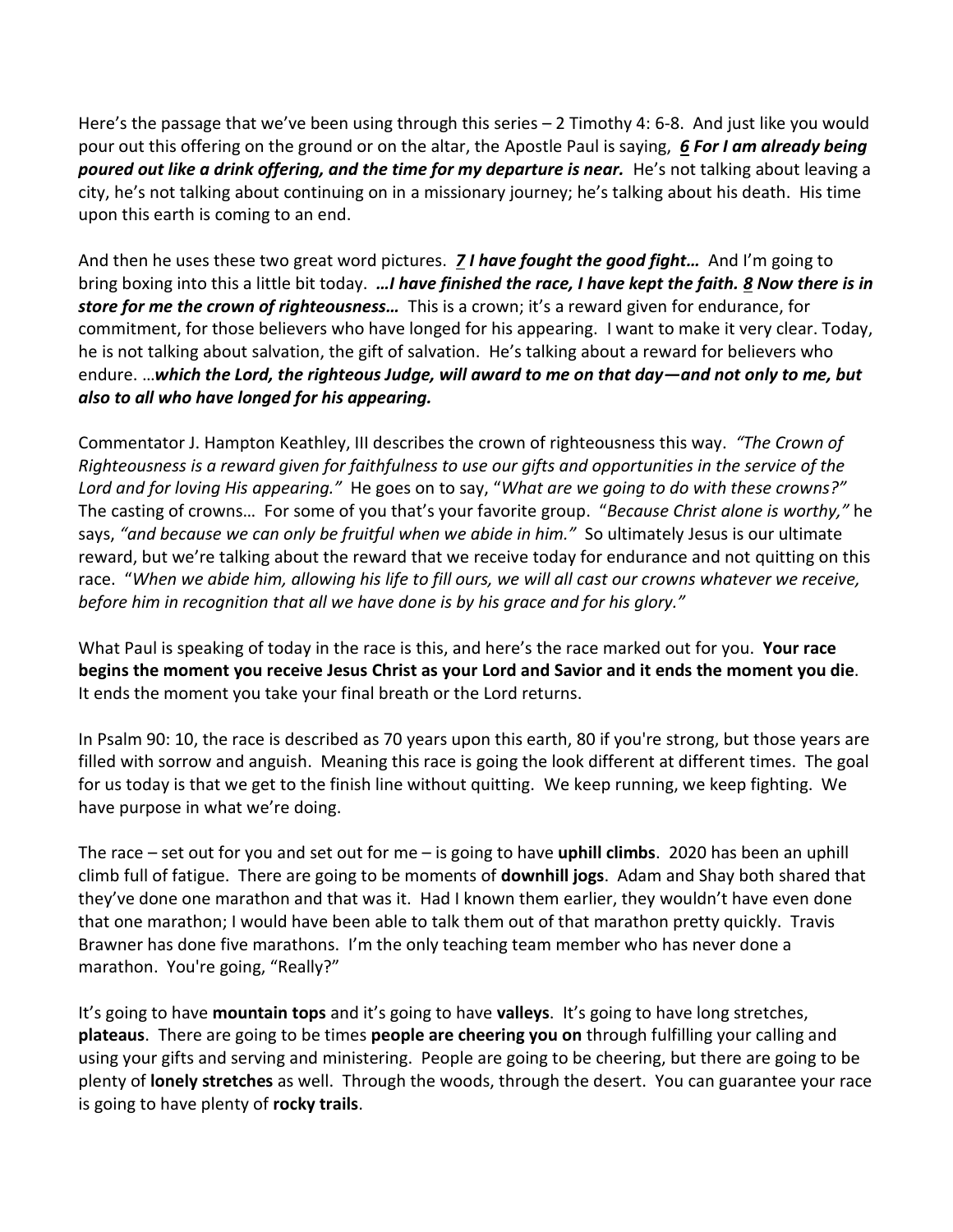Here's the passage that we've been using through this series – 2 Timothy 4: 6-8. And just like you would pour out this offering on the ground or on the altar, the Apostle Paul is saying, *[6](https://www.studylight.org/desk/?q=2ti%204:6&t1=en_niv&sr=1) For I am already being poured out like a drink offering, and the time for my departure is near.* He's not talking about leaving a city, he's not talking about continuing on in a missionary journey; he's talking about his death. His time upon this earth is coming to an end.

And then he uses these two great word pictures. *[7](https://www.studylight.org/desk/?q=2ti%204:7&t1=en_niv&sr=1) I have fought the good fight…* And I'm going to bring boxing into this a little bit today. *…I have finished the race, I have kept the faith. [8](https://www.studylight.org/desk/?q=2ti%204:8&t1=en_niv&sr=1) Now there is in store for me the crown of righteousness…* This is a crown; it's a reward given for endurance, for commitment, for those believers who have longed for his appearing. I want to make it very clear. Today, he is not talking about salvation, the gift of salvation. He's talking about a reward for believers who endure. …*which the Lord, the righteous Judge, will award to me on that day—and not only to me, but also to all who have longed for his appearing.*

Commentator J. Hampton Keathley, III describes the crown of righteousness this way. *"The Crown of Righteousness is a reward given for faithfulness to use our gifts and opportunities in the service of the Lord and for loving His appearing."* He goes on to say, "*What are we going to do with these crowns?"* The casting of crowns… For some of you that's your favorite group. "*Because Christ alone is worthy,"* he says, *"and because we can only be fruitful when we abide in him."* So ultimately Jesus is our ultimate reward, but we're talking about the reward that we receive today for endurance and not quitting on this race. "*When we abide him, allowing his life to fill ours, we will all cast our crowns whatever we receive, before him in recognition that all we have done is by his grace and for his glory."*

What Paul is speaking of today in the race is this, and here's the race marked out for you. **Your race begins the moment you receive Jesus Christ as your Lord and Savior and it ends the moment you die**. It ends the moment you take your final breath or the Lord returns.

In Psalm 90: 10, the race is described as 70 years upon this earth, 80 if you're strong, but those years are filled with sorrow and anguish. Meaning this race is going the look different at different times. The goal for us today is that we get to the finish line without quitting. We keep running, we keep fighting. We have purpose in what we're doing.

The race – set out for you and set out for me – is going to have **uphill climbs**. 2020 has been an uphill climb full of fatigue. There are going to be moments of **downhill jogs**. Adam and Shay both shared that they've done one marathon and that was it. Had I known them earlier, they wouldn't have even done that one marathon; I would have been able to talk them out of that marathon pretty quickly. Travis Brawner has done five marathons. I'm the only teaching team member who has never done a marathon. You're going, "Really?"

It's going to have **mountain tops** and it's going to have **valleys**. It's going to have long stretches, **plateaus**. There are going to be times **people are cheering you on** through fulfilling your calling and using your gifts and serving and ministering. People are going to be cheering, but there are going to be plenty of **lonely stretches** as well. Through the woods, through the desert. You can guarantee your race is going to have plenty of **rocky trails**.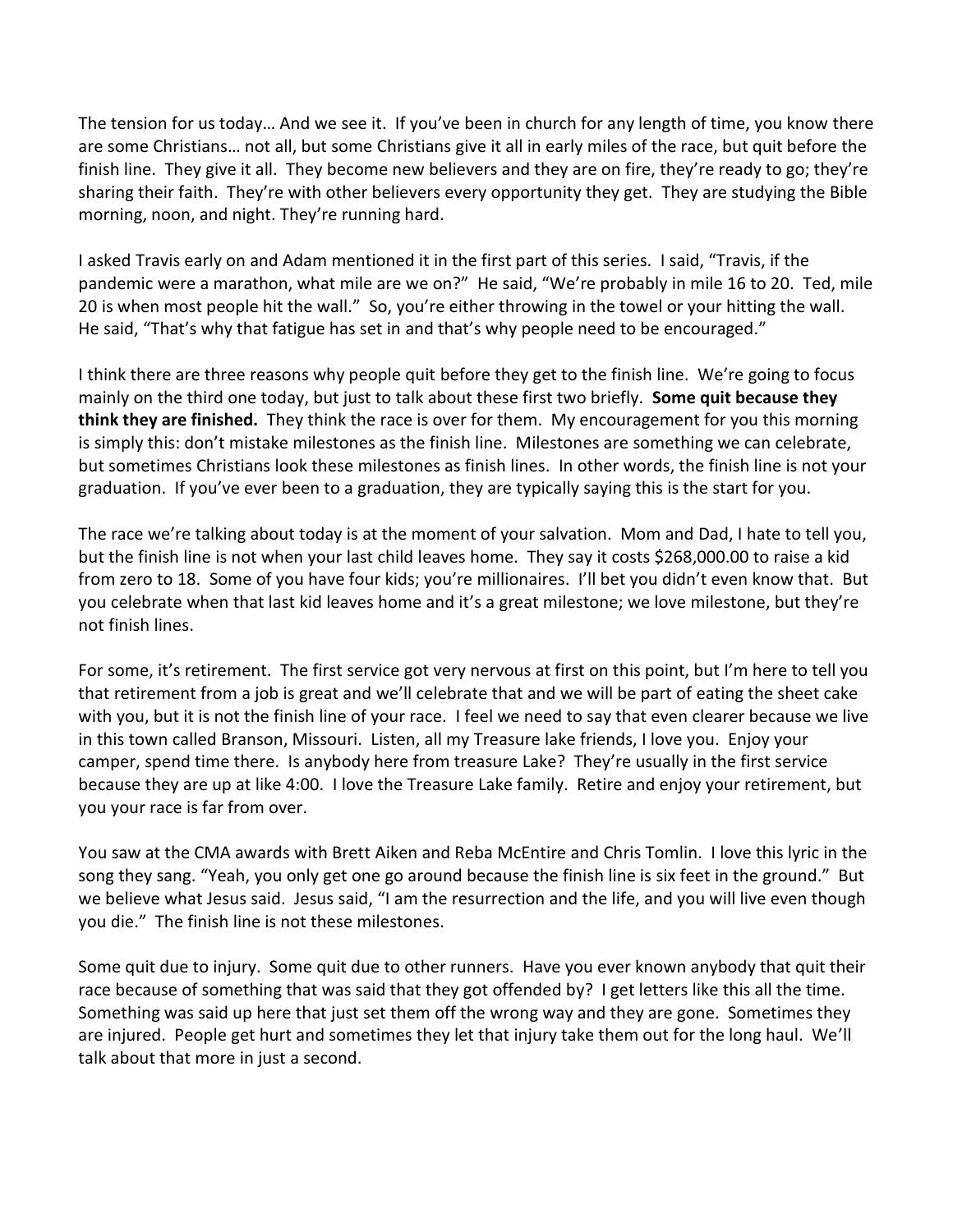The tension for us today… And we see it. If you've been in church for any length of time, you know there are some Christians… not all, but some Christians give it all in early miles of the race, but quit before the finish line. They give it all. They become new believers and they are on fire, they're ready to go; they're sharing their faith. They're with other believers every opportunity they get. They are studying the Bible morning, noon, and night. They're running hard.

I asked Travis early on and Adam mentioned it in the first part of this series. I said, "Travis, if the pandemic were a marathon, what mile are we on?" He said, "We're probably in mile 16 to 20. Ted, mile 20 is when most people hit the wall." So, you're either throwing in the towel or your hitting the wall. He said, "That's why that fatigue has set in and that's why people need to be encouraged."

I think there are three reasons why people quit before they get to the finish line. We're going to focus mainly on the third one today, but just to talk about these first two briefly. **Some quit because they think they are finished.** They think the race is over for them. My encouragement for you this morning is simply this: don't mistake milestones as the finish line. Milestones are something we can celebrate, but sometimes Christians look these milestones as finish lines. In other words, the finish line is not your graduation. If you've ever been to a graduation, they are typically saying this is the start for you.

The race we're talking about today is at the moment of your salvation. Mom and Dad, I hate to tell you, but the finish line is not when your last child leaves home. They say it costs \$268,000.00 to raise a kid from zero to 18. Some of you have four kids; you're millionaires. I'll bet you didn't even know that. But you celebrate when that last kid leaves home and it's a great milestone; we love milestone, but they're not finish lines.

For some, it's retirement. The first service got very nervous at first on this point, but I'm here to tell you that retirement from a job is great and we'll celebrate that and we will be part of eating the sheet cake with you, but it is not the finish line of your race. I feel we need to say that even clearer because we live in this town called Branson, Missouri. Listen, all my Treasure lake friends, I love you. Enjoy your camper, spend time there. Is anybody here from treasure Lake? They're usually in the first service because they are up at like 4:00. I love the Treasure Lake family. Retire and enjoy your retirement, but you your race is far from over.

You saw at the CMA awards with Brett Aiken and Reba McEntire and Chris Tomlin. I love this lyric in the song they sang. "Yeah, you only get one go around because the finish line is six feet in the ground." But we believe what Jesus said. Jesus said, "I am the resurrection and the life, and you will live even though you die." The finish line is not these milestones.

Some quit due to injury. Some quit due to other runners. Have you ever known anybody that quit their race because of something that was said that they got offended by? I get letters like this all the time. Something was said up here that just set them off the wrong way and they are gone. Sometimes they are injured. People get hurt and sometimes they let that injury take them out for the long haul. We'll talk about that more in just a second.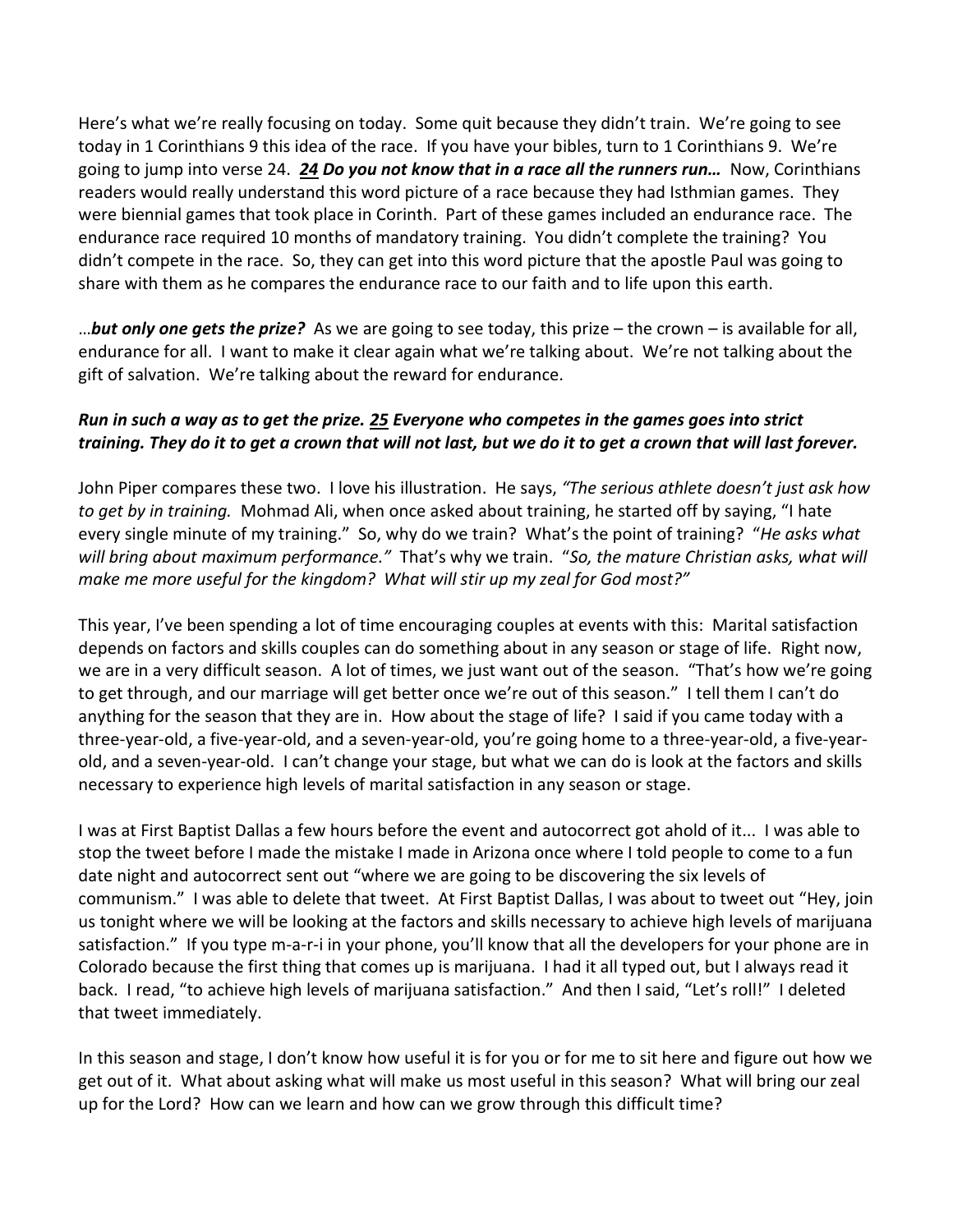Here's what we're really focusing on today. Some quit because they didn't train. We're going to see today in 1 Corinthians 9 this idea of the race. If you have your bibles, turn to 1 Corinthians 9. We're going to jump into verse 24. *[24](https://www.studylight.org/desk/?q=1co%209:24&t1=en_niv&sr=1) Do you not know that in a race all the runners run…* Now, Corinthians readers would really understand this word picture of a race because they had Isthmian games. They were biennial games that took place in Corinth. Part of these games included an endurance race. The endurance race required 10 months of mandatory training. You didn't complete the training? You didn't compete in the race. So, they can get into this word picture that the apostle Paul was going to share with them as he compares the endurance race to our faith and to life upon this earth.

…*but only one gets the prize?* As we are going to see today, this prize – the crown – is available for all, endurance for all. I want to make it clear again what we're talking about. We're not talking about the gift of salvation. We're talking about the reward for endurance.

## *Run in such a way as to get the prize. [25](https://www.studylight.org/desk/?q=1co%209:25&t1=en_niv&sr=1) Everyone who competes in the games goes into strict training. They do it to get a crown that will not last, but we do it to get a crown that will last forever.*

John Piper compares these two. I love his illustration. He says, *"The serious athlete doesn't just ask how to get by in training.* Mohmad Ali, when once asked about training, he started off by saying, "I hate every single minute of my training." So, why do we train? What's the point of training? "*He asks what will bring about maximum performance."* That's why we train. "*So, the mature Christian asks, what will make me more useful for the kingdom? What will stir up my zeal for God most?"*

This year, I've been spending a lot of time encouraging couples at events with this: Marital satisfaction depends on factors and skills couples can do something about in any season or stage of life. Right now, we are in a very difficult season. A lot of times, we just want out of the season. "That's how we're going to get through, and our marriage will get better once we're out of this season." I tell them I can't do anything for the season that they are in. How about the stage of life? I said if you came today with a three-year-old, a five-year-old, and a seven-year-old, you're going home to a three-year-old, a five-yearold, and a seven-year-old. I can't change your stage, but what we can do is look at the factors and skills necessary to experience high levels of marital satisfaction in any season or stage.

I was at First Baptist Dallas a few hours before the event and autocorrect got ahold of it... I was able to stop the tweet before I made the mistake I made in Arizona once where I told people to come to a fun date night and autocorrect sent out "where we are going to be discovering the six levels of communism." I was able to delete that tweet. At First Baptist Dallas, I was about to tweet out "Hey, join us tonight where we will be looking at the factors and skills necessary to achieve high levels of marijuana satisfaction." If you type m-a-r-i in your phone, you'll know that all the developers for your phone are in Colorado because the first thing that comes up is marijuana. I had it all typed out, but I always read it back. I read, "to achieve high levels of marijuana satisfaction." And then I said, "Let's roll!" I deleted that tweet immediately.

In this season and stage, I don't know how useful it is for you or for me to sit here and figure out how we get out of it. What about asking what will make us most useful in this season? What will bring our zeal up for the Lord? How can we learn and how can we grow through this difficult time?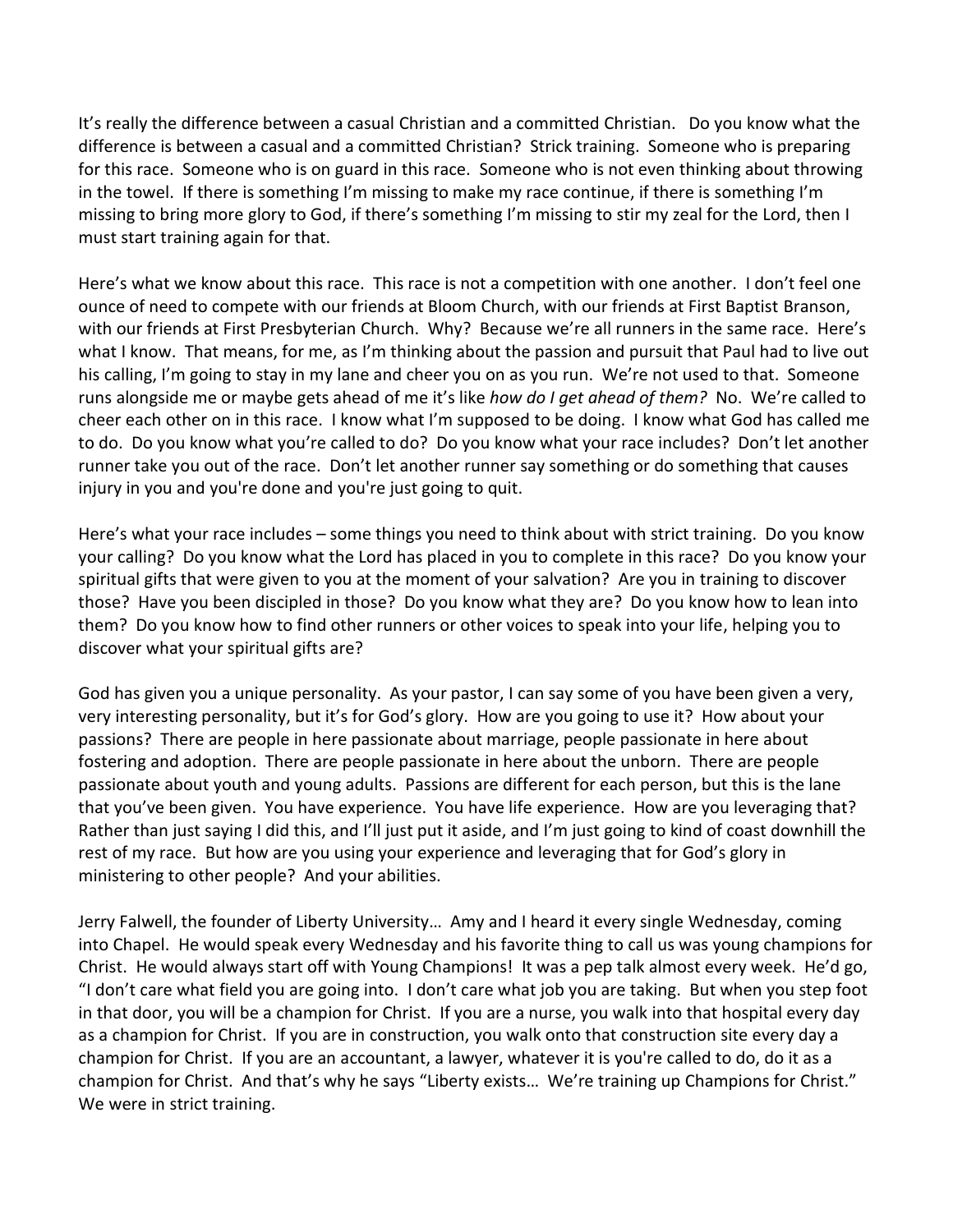It's really the difference between a casual Christian and a committed Christian. Do you know what the difference is between a casual and a committed Christian? Strick training. Someone who is preparing for this race. Someone who is on guard in this race. Someone who is not even thinking about throwing in the towel. If there is something I'm missing to make my race continue, if there is something I'm missing to bring more glory to God, if there's something I'm missing to stir my zeal for the Lord, then I must start training again for that.

Here's what we know about this race. This race is not a competition with one another. I don't feel one ounce of need to compete with our friends at Bloom Church, with our friends at First Baptist Branson, with our friends at First Presbyterian Church. Why? Because we're all runners in the same race. Here's what I know. That means, for me, as I'm thinking about the passion and pursuit that Paul had to live out his calling, I'm going to stay in my lane and cheer you on as you run. We're not used to that. Someone runs alongside me or maybe gets ahead of me it's like *how do I get ahead of them?* No. We're called to cheer each other on in this race. I know what I'm supposed to be doing. I know what God has called me to do. Do you know what you're called to do? Do you know what your race includes? Don't let another runner take you out of the race. Don't let another runner say something or do something that causes injury in you and you're done and you're just going to quit.

Here's what your race includes – some things you need to think about with strict training. Do you know your calling? Do you know what the Lord has placed in you to complete in this race? Do you know your spiritual gifts that were given to you at the moment of your salvation? Are you in training to discover those? Have you been discipled in those? Do you know what they are? Do you know how to lean into them? Do you know how to find other runners or other voices to speak into your life, helping you to discover what your spiritual gifts are?

God has given you a unique personality. As your pastor, I can say some of you have been given a very, very interesting personality, but it's for God's glory. How are you going to use it? How about your passions? There are people in here passionate about marriage, people passionate in here about fostering and adoption. There are people passionate in here about the unborn. There are people passionate about youth and young adults. Passions are different for each person, but this is the lane that you've been given. You have experience. You have life experience. How are you leveraging that? Rather than just saying I did this, and I'll just put it aside, and I'm just going to kind of coast downhill the rest of my race. But how are you using your experience and leveraging that for God's glory in ministering to other people? And your abilities.

Jerry Falwell, the founder of Liberty University… Amy and I heard it every single Wednesday, coming into Chapel. He would speak every Wednesday and his favorite thing to call us was young champions for Christ. He would always start off with Young Champions! It was a pep talk almost every week. He'd go, "I don't care what field you are going into. I don't care what job you are taking. But when you step foot in that door, you will be a champion for Christ. If you are a nurse, you walk into that hospital every day as a champion for Christ. If you are in construction, you walk onto that construction site every day a champion for Christ. If you are an accountant, a lawyer, whatever it is you're called to do, do it as a champion for Christ. And that's why he says "Liberty exists… We're training up Champions for Christ." We were in strict training.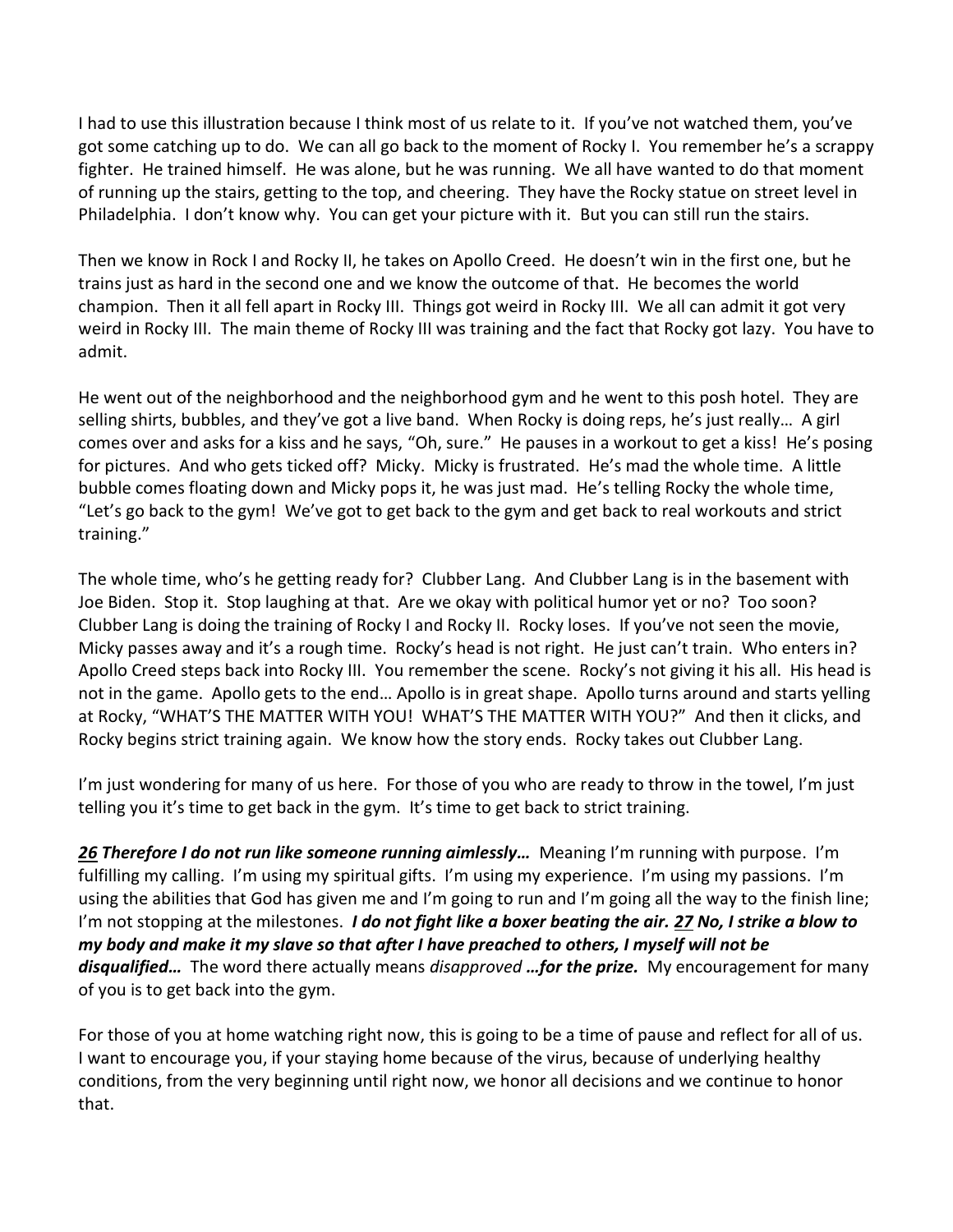I had to use this illustration because I think most of us relate to it. If you've not watched them, you've got some catching up to do. We can all go back to the moment of Rocky I. You remember he's a scrappy fighter. He trained himself. He was alone, but he was running. We all have wanted to do that moment of running up the stairs, getting to the top, and cheering. They have the Rocky statue on street level in Philadelphia. I don't know why. You can get your picture with it. But you can still run the stairs.

Then we know in Rock I and Rocky II, he takes on Apollo Creed. He doesn't win in the first one, but he trains just as hard in the second one and we know the outcome of that. He becomes the world champion. Then it all fell apart in Rocky III. Things got weird in Rocky III. We all can admit it got very weird in Rocky III. The main theme of Rocky III was training and the fact that Rocky got lazy. You have to admit.

He went out of the neighborhood and the neighborhood gym and he went to this posh hotel. They are selling shirts, bubbles, and they've got a live band. When Rocky is doing reps, he's just really… A girl comes over and asks for a kiss and he says, "Oh, sure." He pauses in a workout to get a kiss! He's posing for pictures. And who gets ticked off? Micky. Micky is frustrated. He's mad the whole time. A little bubble comes floating down and Micky pops it, he was just mad. He's telling Rocky the whole time, "Let's go back to the gym! We've got to get back to the gym and get back to real workouts and strict training."

The whole time, who's he getting ready for? Clubber Lang. And Clubber Lang is in the basement with Joe Biden. Stop it. Stop laughing at that. Are we okay with political humor yet or no? Too soon? Clubber Lang is doing the training of Rocky I and Rocky II. Rocky loses. If you've not seen the movie, Micky passes away and it's a rough time. Rocky's head is not right. He just can't train. Who enters in? Apollo Creed steps back into Rocky III. You remember the scene. Rocky's not giving it his all. His head is not in the game. Apollo gets to the end… Apollo is in great shape. Apollo turns around and starts yelling at Rocky, "WHAT'S THE MATTER WITH YOU! WHAT'S THE MATTER WITH YOU?" And then it clicks, and Rocky begins strict training again. We know how the story ends. Rocky takes out Clubber Lang.

I'm just wondering for many of us here. For those of you who are ready to throw in the towel, I'm just telling you it's time to get back in the gym. It's time to get back to strict training.

*[26](https://www.studylight.org/desk/?q=1co%209:26&t1=en_niv&sr=1) Therefore I do not run like someone running aimlessly…* Meaning I'm running with purpose. I'm fulfilling my calling. I'm using my spiritual gifts. I'm using my experience. I'm using my passions. I'm using the abilities that God has given me and I'm going to run and I'm going all the way to the finish line; I'm not stopping at the milestones. *I do not fight like a boxer beating the air. [27](https://www.studylight.org/desk/?q=1co%209:27&t1=en_niv&sr=1) No, I strike a blow to my body and make it my slave so that after I have preached to others, I myself will not be disqualified…* The word there actually means *disapproved …for the prize.* My encouragement for many of you is to get back into the gym.

For those of you at home watching right now, this is going to be a time of pause and reflect for all of us. I want to encourage you, if your staying home because of the virus, because of underlying healthy conditions, from the very beginning until right now, we honor all decisions and we continue to honor that.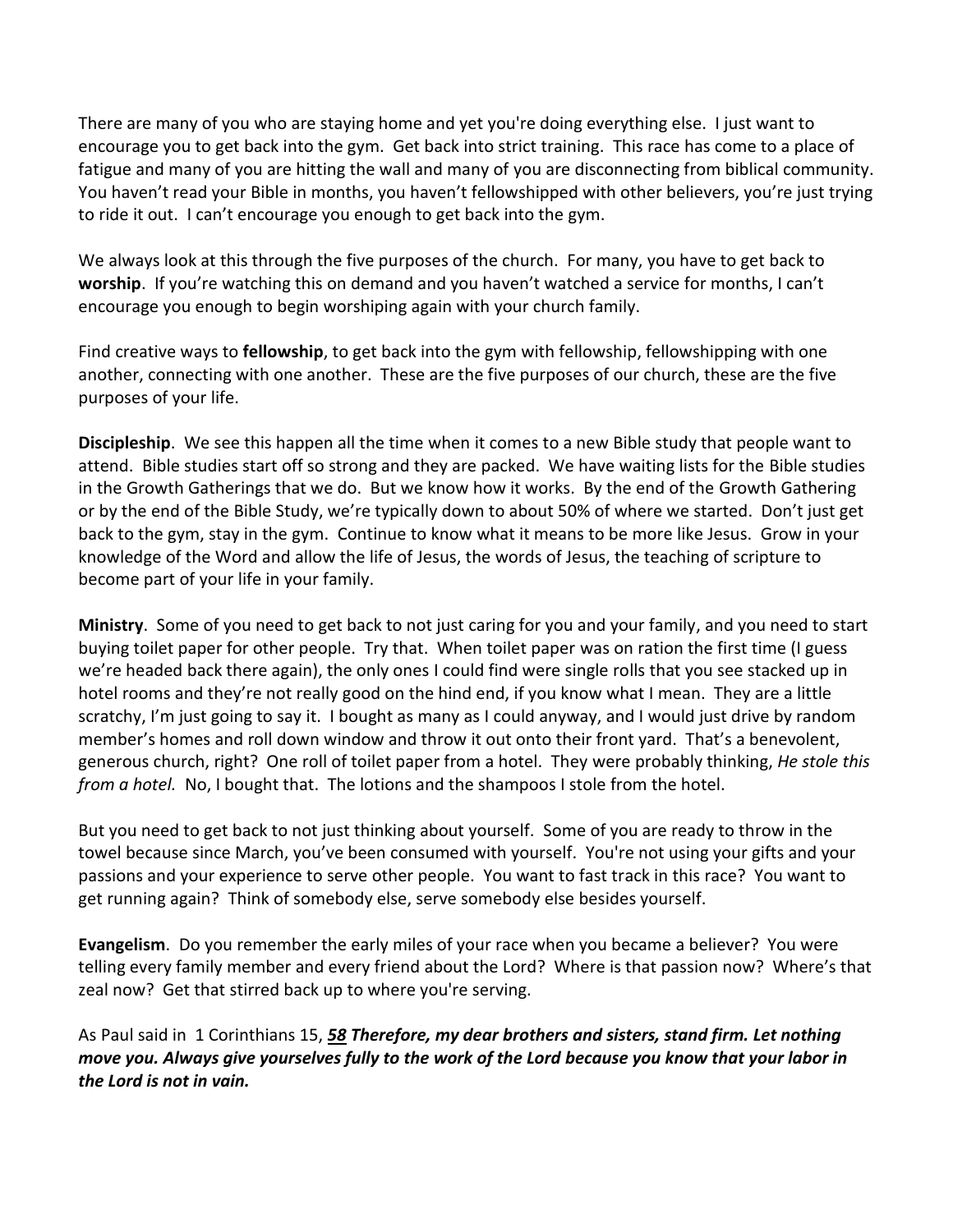There are many of you who are staying home and yet you're doing everything else. I just want to encourage you to get back into the gym. Get back into strict training. This race has come to a place of fatigue and many of you are hitting the wall and many of you are disconnecting from biblical community. You haven't read your Bible in months, you haven't fellowshipped with other believers, you're just trying to ride it out. I can't encourage you enough to get back into the gym.

We always look at this through the five purposes of the church. For many, you have to get back to **worship**. If you're watching this on demand and you haven't watched a service for months, I can't encourage you enough to begin worshiping again with your church family.

Find creative ways to **fellowship**, to get back into the gym with fellowship, fellowshipping with one another, connecting with one another. These are the five purposes of our church, these are the five purposes of your life.

**Discipleship**. We see this happen all the time when it comes to a new Bible study that people want to attend. Bible studies start off so strong and they are packed. We have waiting lists for the Bible studies in the Growth Gatherings that we do. But we know how it works. By the end of the Growth Gathering or by the end of the Bible Study, we're typically down to about 50% of where we started. Don't just get back to the gym, stay in the gym. Continue to know what it means to be more like Jesus. Grow in your knowledge of the Word and allow the life of Jesus, the words of Jesus, the teaching of scripture to become part of your life in your family.

**Ministry**. Some of you need to get back to not just caring for you and your family, and you need to start buying toilet paper for other people. Try that. When toilet paper was on ration the first time (I guess we're headed back there again), the only ones I could find were single rolls that you see stacked up in hotel rooms and they're not really good on the hind end, if you know what I mean. They are a little scratchy, I'm just going to say it. I bought as many as I could anyway, and I would just drive by random member's homes and roll down window and throw it out onto their front yard. That's a benevolent, generous church, right? One roll of toilet paper from a hotel. They were probably thinking, *He stole this from a hotel.* No, I bought that. The lotions and the shampoos I stole from the hotel.

But you need to get back to not just thinking about yourself. Some of you are ready to throw in the towel because since March, you've been consumed with yourself. You're not using your gifts and your passions and your experience to serve other people. You want to fast track in this race? You want to get running again? Think of somebody else, serve somebody else besides yourself.

**Evangelism**. Do you remember the early miles of your race when you became a believer? You were telling every family member and every friend about the Lord? Where is that passion now? Where's that zeal now? Get that stirred back up to where you're serving.

As Paul said in 1 Corinthians 15, *[58](https://www.studylight.org/desk/?q=1co%2015:58&t1=en_niv&sr=1) Therefore, my dear brothers and sisters, stand firm. Let nothing move you. Always give yourselves fully to the work of the Lord because you know that your labor in the Lord is not in vain.*